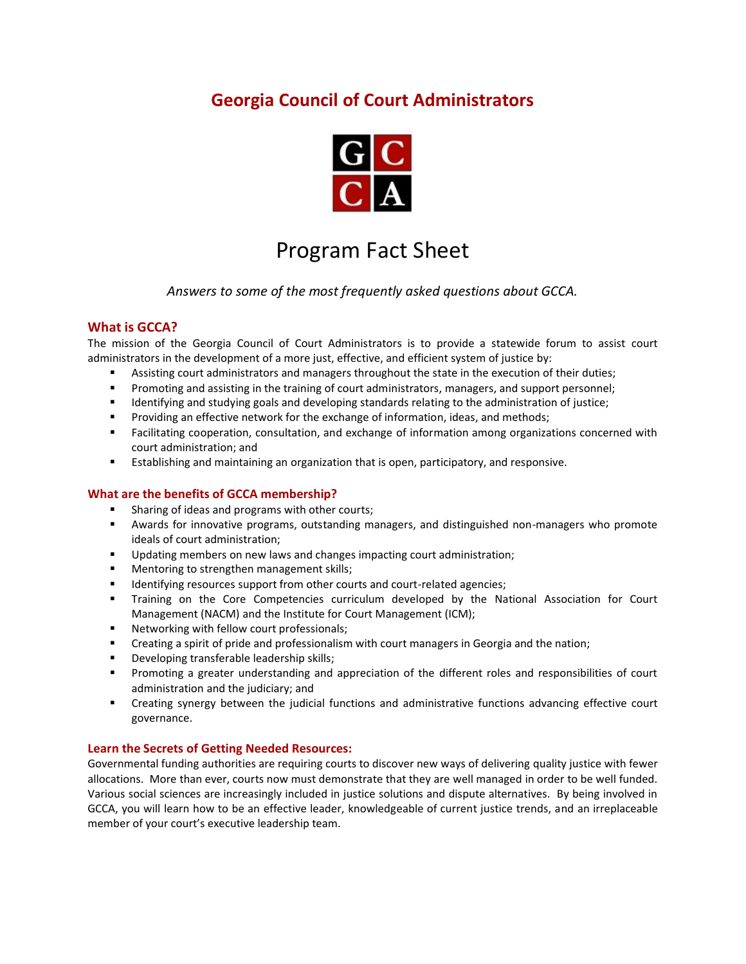## **Georgia Council of Court Administrators**



# Program Fact Sheet

*Answers to some of the most frequently asked questions about GCCA.*

### **What is GCCA?**

The mission of the Georgia Council of Court Administrators is to provide a statewide forum to assist court administrators in the development of a more just, effective, and efficient system of justice by:

- Assisting court administrators and managers throughout the state in the execution of their duties;
- Promoting and assisting in the training of court administrators, managers, and support personnel;
- Identifying and studying goals and developing standards relating to the administration of justice;
- Providing an effective network for the exchange of information, ideas, and methods;
- Facilitating cooperation, consultation, and exchange of information among organizations concerned with court administration; and
- **Establishing and maintaining an organization that is open, participatory, and responsive.**

#### **What are the benefits of GCCA membership?**

- Sharing of ideas and programs with other courts;
- Awards for innovative programs, outstanding managers, and distinguished non-managers who promote ideals of court administration;
- Updating members on new laws and changes impacting court administration;
- Mentoring to strengthen management skills;
- Identifying resources support from other courts and court-related agencies;
- Training on the Core Competencies curriculum developed by the National Association for Court Management (NACM) and the Institute for Court Management (ICM);
- Networking with fellow court professionals;
- **•** Creating a spirit of pride and professionalism with court managers in Georgia and the nation;
- Developing transferable leadership skills;
- **•** Promoting a greater understanding and appreciation of the different roles and responsibilities of court administration and the judiciary; and
- Creating synergy between the judicial functions and administrative functions advancing effective court governance.

#### **Learn the Secrets of Getting Needed Resources:**

Governmental funding authorities are requiring courts to discover new ways of delivering quality justice with fewer allocations. More than ever, courts now must demonstrate that they are well managed in order to be well funded. Various social sciences are increasingly included in justice solutions and dispute alternatives. By being involved in GCCA, you will learn how to be an effective leader, knowledgeable of current justice trends, and an irreplaceable member of your court's executive leadership team.